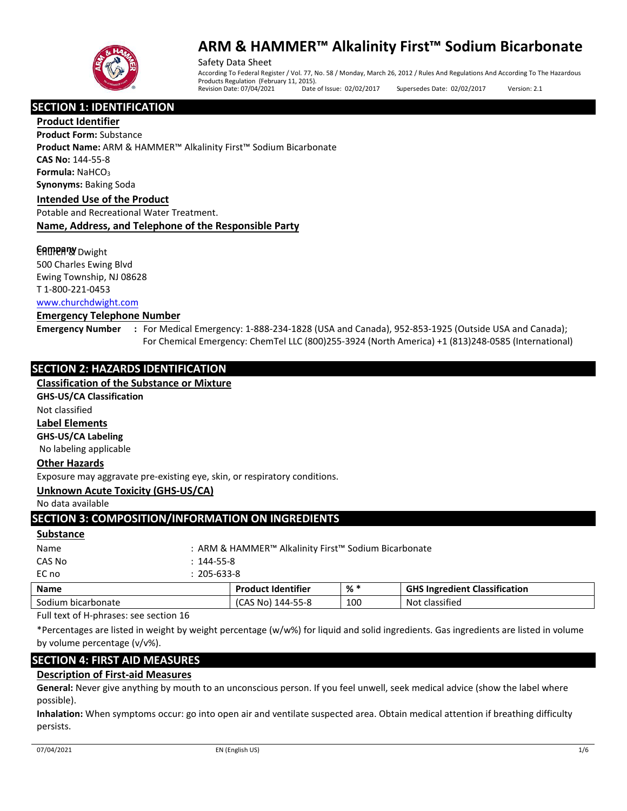

Safety Data Sheet According To Federal Register / Vol. 77, No. 58 / Monday, March 26, 2012 / Rules And Regulations And According To The Hazardous Products Regulation (February 11, 2015). Date of Issue: 02/02/2017 Supersedes Date: 02/02/2017 Version: 2.1

# **SECTION 1: IDENTIFICATION**

**Product Identifier Product Form:** Substance **Product Name:** ARM & HAMMER™ Alkalinity First™ Sodium Bicarbonate **CAS No:** 144-55-8 **Formula: NaHCO<sub>3</sub> Synonyms:** Baking Soda

#### **Intended Use of the Product**

Potable and Recreational Water Treatment.

#### **Name, Address, and Telephone of the Responsible Party**

#### **CAMPARY** Dwight

500 Charles Ewing Blvd Ewing Township, NJ 08628 T 1-800-221-0453 [www.churchdwight.com](http://www.churchdwight.com/)

#### **Emergency Telephone Number**

- 
- **Emergency Number :** For Medical Emergency: 1-888-234-1828 (USA and Canada), 952-853-1925 (Outside USA and Canada); For Chemical Emergency: ChemTel LLC (800)255-3924 (North America) +1 (813)248-0585 (International)

# **SECTION 2: HAZARDS IDENTIFICATION**

#### **Classification of the Substance or Mixture**

#### **GHS-US/CA Classification**

Not classified

# **Label Elements**

**GHS-US/CA Labeling** 

No labeling applicable

#### **Other Hazards**

Exposure may aggravate pre-existing eye, skin, or respiratory conditions.

## **Unknown Acute Toxicity (GHS-US/CA)**

No data available

## **SECTION 3: COMPOSITION/INFORMATION ON INGREDIENTS**

### **Substance**

| <b>Name</b> |                                                      | <b>Product Identifier</b> | $%$ * | <b>GHS Ingredient Classification</b> |  |
|-------------|------------------------------------------------------|---------------------------|-------|--------------------------------------|--|
| EC no       | 205-633-8                                            |                           |       |                                      |  |
| CAS No      | $: 144 - 55 - 8$                                     |                           |       |                                      |  |
| Name        | : ARM & HAMMER™ Alkalinity First™ Sodium Bicarbonate |                           |       |                                      |  |
|             |                                                      |                           |       |                                      |  |

| Sodium bicarbonate                     | $\bigcup$ (CAS No) 144-55-8 | 100 | Not classified |
|----------------------------------------|-----------------------------|-----|----------------|
| Full text of H-phrases: see section 16 |                             |     |                |

\*Percentages are listed in weight by weight percentage (w/w%) for liquid and solid ingredients. Gas ingredients are listed in volume by volume percentage (v/v%).

# **SECTION 4: FIRST AID MEASURES**

## **Description of First-aid Measures**

**General:** Never give anything by mouth to an unconscious person. If you feel unwell, seek medical advice (show the label where possible).

**Inhalation:** When symptoms occur: go into open air and ventilate suspected area. Obtain medical attention if breathing difficulty persists.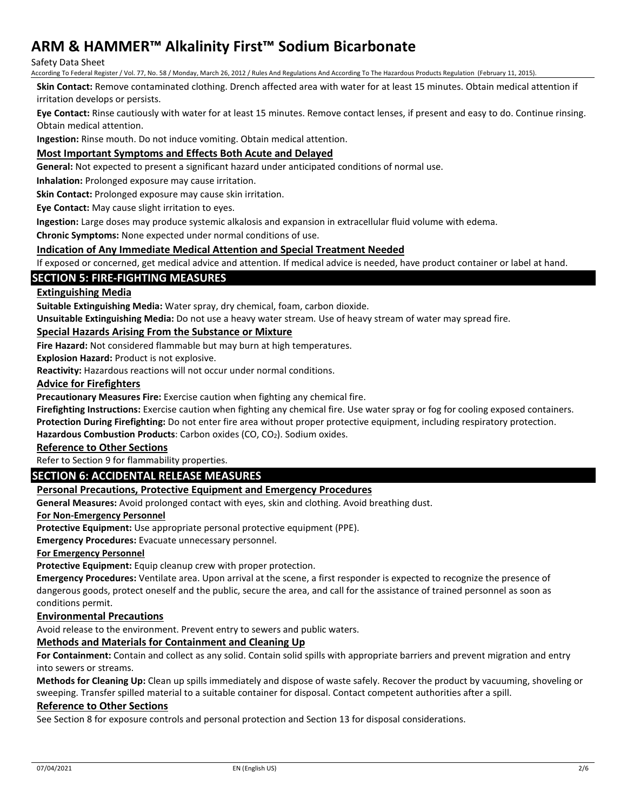#### Safety Data Sheet

According To Federal Register / Vol. 77, No. 58 / Monday, March 26, 2012 / Rules And Regulations And According To The Hazardous Products Regulation (February 11, 2015).

**Skin Contact:** Remove contaminated clothing. Drench affected area with water for at least 15 minutes. Obtain medical attention if irritation develops or persists.

**Eye Contact:** Rinse cautiously with water for at least 15 minutes. Remove contact lenses, if present and easy to do. Continue rinsing. Obtain medical attention.

**Ingestion:** Rinse mouth. Do not induce vomiting. Obtain medical attention.

## **Most Important Symptoms and Effects Both Acute and Delayed**

**General:** Not expected to present a significant hazard under anticipated conditions of normal use.

**Inhalation:** Prolonged exposure may cause irritation.

**Skin Contact:** Prolonged exposure may cause skin irritation.

**Eye Contact:** May cause slight irritation to eyes.

**Ingestion:** Large doses may produce systemic alkalosis and expansion in extracellular fluid volume with edema.

**Chronic Symptoms:** None expected under normal conditions of use.

#### **Indication of Any Immediate Medical Attention and Special Treatment Needed**

If exposed or concerned, get medical advice and attention. If medical advice is needed, have product container or label at hand.

## **SECTION 5: FIRE-FIGHTING MEASURES**

## **Extinguishing Media**

**Suitable Extinguishing Media:** Water spray, dry chemical, foam, carbon dioxide.

**Unsuitable Extinguishing Media:** Do not use a heavy water stream. Use of heavy stream of water may spread fire.

## **Special Hazards Arising From the Substance or Mixture**

**Fire Hazard:** Not considered flammable but may burn at high temperatures.

**Explosion Hazard:** Product is not explosive.

**Reactivity:** Hazardous reactions will not occur under normal conditions.

#### **Advice for Firefighters**

**Precautionary Measures Fire:** Exercise caution when fighting any chemical fire.

**Firefighting Instructions:** Exercise caution when fighting any chemical fire. Use water spray or fog for cooling exposed containers.

**Protection During Firefighting:** Do not enter fire area without proper protective equipment, including respiratory protection.

Hazardous Combustion Products: Carbon oxides (CO, CO<sub>2</sub>). Sodium oxides.

# **Reference to Other Sections**

Refer to Section 9 for flammability properties.

# **SECTION 6: ACCIDENTAL RELEASE MEASURES**

## **Personal Precautions, Protective Equipment and Emergency Procedures**

**General Measures:** Avoid prolonged contact with eyes, skin and clothing. Avoid breathing dust.

#### **For Non-Emergency Personnel**

**Protective Equipment:** Use appropriate personal protective equipment (PPE).

**Emergency Procedures:** Evacuate unnecessary personnel.

#### **For Emergency Personnel**

**Protective Equipment:** Equip cleanup crew with proper protection.

**Emergency Procedures:** Ventilate area. Upon arrival at the scene, a first responder is expected to recognize the presence of dangerous goods, protect oneself and the public, secure the area, and call for the assistance of trained personnel as soon as conditions permit.

#### **Environmental Precautions**

Avoid release to the environment. Prevent entry to sewers and public waters.

## **Methods and Materials for Containment and Cleaning Up**

**For Containment:** Contain and collect as any solid. Contain solid spills with appropriate barriers and prevent migration and entry into sewers or streams.

**Methods for Cleaning Up:** Clean up spills immediately and dispose of waste safely. Recover the product by vacuuming, shoveling or sweeping. Transfer spilled material to a suitable container for disposal. Contact competent authorities after a spill.

#### **Reference to Other Sections**

See Section 8 for exposure controls and personal protection and Section 13 for disposal considerations.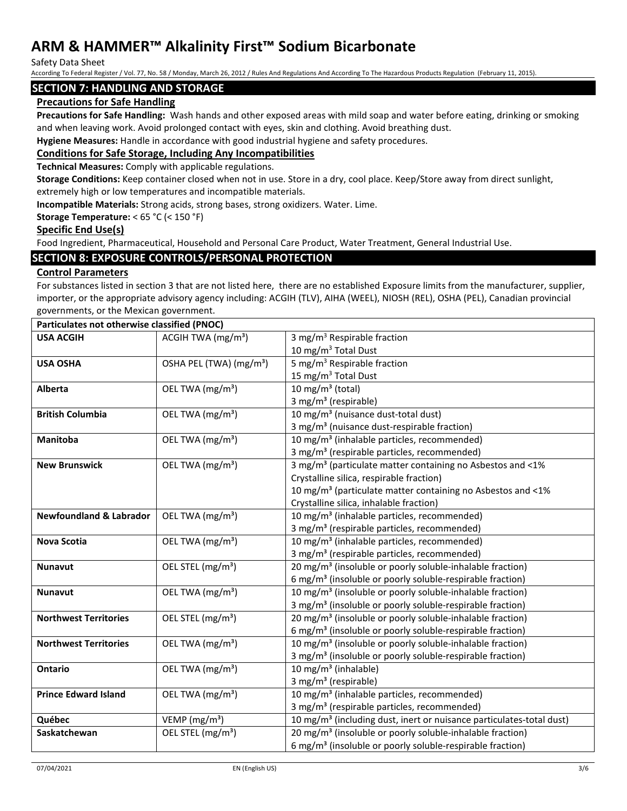Safety Data Sheet

According To Federal Register / Vol. 77, No. 58 / Monday, March 26, 2012 / Rules And Regulations And According To The Hazardous Products Regulation (February 11, 2015).

## **SECTION 7: HANDLING AND STORAGE**

## **Precautions for Safe Handling**

**Precautions for Safe Handling:** Wash hands and other exposed areas with mild soap and water before eating, drinking or smoking and when leaving work. Avoid prolonged contact with eyes, skin and clothing. Avoid breathing dust.

**Hygiene Measures:** Handle in accordance with good industrial hygiene and safety procedures.

## **Conditions for Safe Storage, Including Any Incompatibilities**

**Technical Measures:** Comply with applicable regulations.

**Storage Conditions:** Keep container closed when not in use. Store in a dry, cool place. Keep/Store away from direct sunlight, extremely high or low temperatures and incompatible materials.

**Incompatible Materials:** Strong acids, strong bases, strong oxidizers. Water. Lime.

#### **Storage Temperature:** < 65 °C (< 150 °F)

#### **Specific End Use(s)**

Food Ingredient, Pharmaceutical, Household and Personal Care Product, Water Treatment, General Industrial Use.

## **SECTION 8: EXPOSURE CONTROLS/PERSONAL PROTECTION**

## **Control Parameters**

For substances listed in section 3 that are not listed here, there are no established Exposure limits from the manufacturer, supplier, importer, or the appropriate advisory agency including: ACGIH (TLV), AIHA (WEEL), NIOSH (REL), OSHA (PEL), Canadian provincial governments, or the Mexican government.

| Particulates not otherwise classified (PNOC)           |                               |                                                                                  |  |  |
|--------------------------------------------------------|-------------------------------|----------------------------------------------------------------------------------|--|--|
| <b>USA ACGIH</b>                                       | ACGIH TWA $(mg/m3)$           | 3 mg/m <sup>3</sup> Respirable fraction                                          |  |  |
|                                                        |                               | 10 mg/m <sup>3</sup> Total Dust                                                  |  |  |
| OSHA PEL (TWA) (mg/m <sup>3</sup> )<br><b>USA OSHA</b> |                               | $\overline{5}$ mg/m <sup>3</sup> Respirable fraction                             |  |  |
|                                                        |                               | 15 mg/m <sup>3</sup> Total Dust                                                  |  |  |
| Alberta                                                | OEL TWA (mg/m <sup>3</sup> )  | 10 mg/m $3$ (total)                                                              |  |  |
|                                                        |                               | 3 mg/m <sup>3</sup> (respirable)                                                 |  |  |
| <b>British Columbia</b>                                | OEL TWA (mg/m <sup>3</sup> )  | 10 mg/m <sup>3</sup> (nuisance dust-total dust)                                  |  |  |
|                                                        |                               | 3 mg/m <sup>3</sup> (nuisance dust-respirable fraction)                          |  |  |
| Manitoba                                               | OEL TWA (mg/m <sup>3</sup> )  | 10 mg/m <sup>3</sup> (inhalable particles, recommended)                          |  |  |
|                                                        |                               | 3 mg/m <sup>3</sup> (respirable particles, recommended)                          |  |  |
| <b>New Brunswick</b>                                   | OEL TWA (mg/m <sup>3</sup> )  | 3 mg/m <sup>3</sup> (particulate matter containing no Asbestos and <1%           |  |  |
|                                                        |                               | Crystalline silica, respirable fraction)                                         |  |  |
|                                                        |                               | 10 mg/m <sup>3</sup> (particulate matter containing no Asbestos and <1%          |  |  |
|                                                        |                               | Crystalline silica, inhalable fraction)                                          |  |  |
| <b>Newfoundland &amp; Labrador</b>                     | OEL TWA (mg/m <sup>3</sup> )  | 10 mg/m <sup>3</sup> (inhalable particles, recommended)                          |  |  |
|                                                        |                               | 3 mg/m <sup>3</sup> (respirable particles, recommended)                          |  |  |
| <b>Nova Scotia</b>                                     | OEL TWA (mg/m <sup>3</sup> )  | 10 mg/m <sup>3</sup> (inhalable particles, recommended)                          |  |  |
|                                                        |                               | 3 mg/m <sup>3</sup> (respirable particles, recommended)                          |  |  |
| <b>Nunavut</b>                                         | OEL STEL (mg/m <sup>3</sup> ) | 20 mg/m <sup>3</sup> (insoluble or poorly soluble-inhalable fraction)            |  |  |
|                                                        |                               | 6 mg/m <sup>3</sup> (insoluble or poorly soluble-respirable fraction)            |  |  |
| <b>Nunavut</b>                                         | OEL TWA (mg/m <sup>3</sup> )  | 10 mg/m <sup>3</sup> (insoluble or poorly soluble-inhalable fraction)            |  |  |
|                                                        |                               | 3 mg/m <sup>3</sup> (insoluble or poorly soluble-respirable fraction)            |  |  |
| <b>Northwest Territories</b>                           | OEL STEL (mg/m <sup>3</sup> ) | 20 mg/m <sup>3</sup> (insoluble or poorly soluble-inhalable fraction)            |  |  |
|                                                        |                               | 6 mg/m <sup>3</sup> (insoluble or poorly soluble-respirable fraction)            |  |  |
| <b>Northwest Territories</b>                           | OEL TWA (mg/m <sup>3</sup> )  | 10 mg/m <sup>3</sup> (insoluble or poorly soluble-inhalable fraction)            |  |  |
|                                                        |                               | 3 mg/m <sup>3</sup> (insoluble or poorly soluble-respirable fraction)            |  |  |
| <b>Ontario</b>                                         | OEL TWA (mg/m <sup>3</sup> )  | 10 mg/m <sup>3</sup> (inhalable)                                                 |  |  |
|                                                        |                               | 3 mg/m <sup>3</sup> (respirable)                                                 |  |  |
| <b>Prince Edward Island</b>                            | OEL TWA (mg/m <sup>3</sup> )  | 10 mg/m <sup>3</sup> (inhalable particles, recommended)                          |  |  |
|                                                        |                               | 3 mg/m <sup>3</sup> (respirable particles, recommended)                          |  |  |
| Québec                                                 | VEMP ( $mg/m3$ )              | 10 mg/m <sup>3</sup> (including dust, inert or nuisance particulates-total dust) |  |  |
| Saskatchewan                                           | OEL STEL (mg/m <sup>3</sup> ) | 20 mg/m <sup>3</sup> (insoluble or poorly soluble-inhalable fraction)            |  |  |
|                                                        |                               | 6 mg/m <sup>3</sup> (insoluble or poorly soluble-respirable fraction)            |  |  |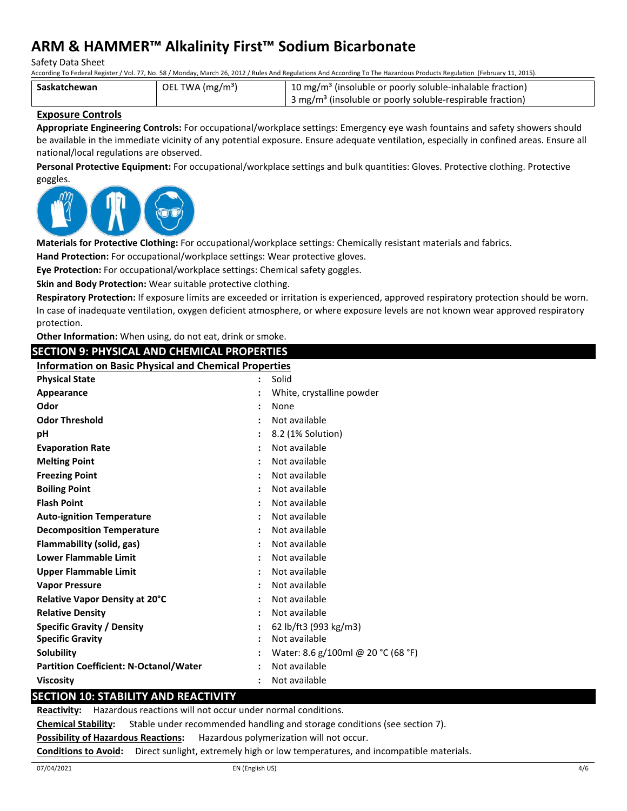Safety Data Sheet

According To Federal Register / Vol. 77, No. 58 / Monday, March 26, 2012 / Rules And Regulations And According To The Hazardous Products Regulation (February 11, 2015).

| Saskatchewan | OEL TWA (mg/m <sup>3</sup> ) | 10 mg/m <sup>3</sup> (insoluble or poorly soluble-inhalable fraction)               |  |  |
|--------------|------------------------------|-------------------------------------------------------------------------------------|--|--|
|              |                              | $\frac{1}{2}$ 3 mg/m <sup>3</sup> (insoluble or poorly soluble-respirable fraction) |  |  |

## **Exposure Controls**

**Appropriate Engineering Controls:** For occupational/workplace settings: Emergency eye wash fountains and safety showers should be available in the immediate vicinity of any potential exposure. Ensure adequate ventilation, especially in confined areas. Ensure all national/local regulations are observed.

**Personal Protective Equipment:** For occupational/workplace settings and bulk quantities: Gloves. Protective clothing. Protective goggles.



**Materials for Protective Clothing:** For occupational/workplace settings: Chemically resistant materials and fabrics.

**Hand Protection:** For occupational/workplace settings: Wear protective gloves.

**Eye Protection:** For occupational/workplace settings: Chemical safety goggles.

**Skin and Body Protection:** Wear suitable protective clothing.

**Respiratory Protection:** If exposure limits are exceeded or irritation is experienced, approved respiratory protection should be worn. In case of inadequate ventilation, oxygen deficient atmosphere, or where exposure levels are not known wear approved respiratory protection.

**Other Information:** When using, do not eat, drink or smoke.

**SECTION 9: PHYSICAL AND CHEMICAL PROPERTIES Information on Basic Physical and Chemical Properties**

| iliitu matium oli basit Filiysitäi allu tilemitäi Filipelties |                      |                                    |  |  |
|---------------------------------------------------------------|----------------------|------------------------------------|--|--|
| <b>Physical State</b>                                         | ÷                    | Solid                              |  |  |
| Appearance                                                    |                      | White, crystalline powder          |  |  |
| Odor                                                          |                      | None                               |  |  |
| <b>Odor Threshold</b>                                         |                      | Not available                      |  |  |
| рH                                                            |                      | 8.2 (1% Solution)                  |  |  |
| <b>Evaporation Rate</b>                                       |                      | Not available                      |  |  |
| <b>Melting Point</b>                                          |                      | Not available                      |  |  |
| <b>Freezing Point</b>                                         |                      | Not available                      |  |  |
| <b>Boiling Point</b>                                          |                      | Not available                      |  |  |
| <b>Flash Point</b>                                            |                      | Not available                      |  |  |
| <b>Auto-ignition Temperature</b>                              | $\ddot{\cdot}$       | Not available                      |  |  |
| <b>Decomposition Temperature</b>                              | $\ddot{\phantom{a}}$ | Not available                      |  |  |
| Flammability (solid, gas)                                     |                      | Not available                      |  |  |
| <b>Lower Flammable Limit</b>                                  |                      | Not available                      |  |  |
| <b>Upper Flammable Limit</b>                                  |                      | Not available                      |  |  |
| <b>Vapor Pressure</b>                                         |                      | Not available                      |  |  |
| Relative Vapor Density at 20°C                                | $\ddot{\cdot}$       | Not available                      |  |  |
| <b>Relative Density</b>                                       |                      | Not available                      |  |  |
| Specific Gravity / Density                                    |                      | 62 lb/ft3 (993 kg/m3)              |  |  |
| <b>Specific Gravity</b>                                       |                      | Not available                      |  |  |
| <b>Solubility</b>                                             |                      | Water: 8.6 g/100ml @ 20 °C (68 °F) |  |  |
| <b>Partition Coefficient: N-Octanol/Water</b>                 |                      | Not available                      |  |  |
| <b>Viscosity</b>                                              |                      | Not available                      |  |  |

# **SECTION 10: STABILITY AND REACTIVITY**

**Reactivity:** Hazardous reactions will not occur under normal conditions.

**Chemical Stability:** Stable under recommended handling and storage conditions (see section 7).

**Possibility of Hazardous Reactions:** Hazardous polymerization will not occur.

**Conditions to Avoid:** Direct sunlight, extremely high or low temperatures, and incompatible materials.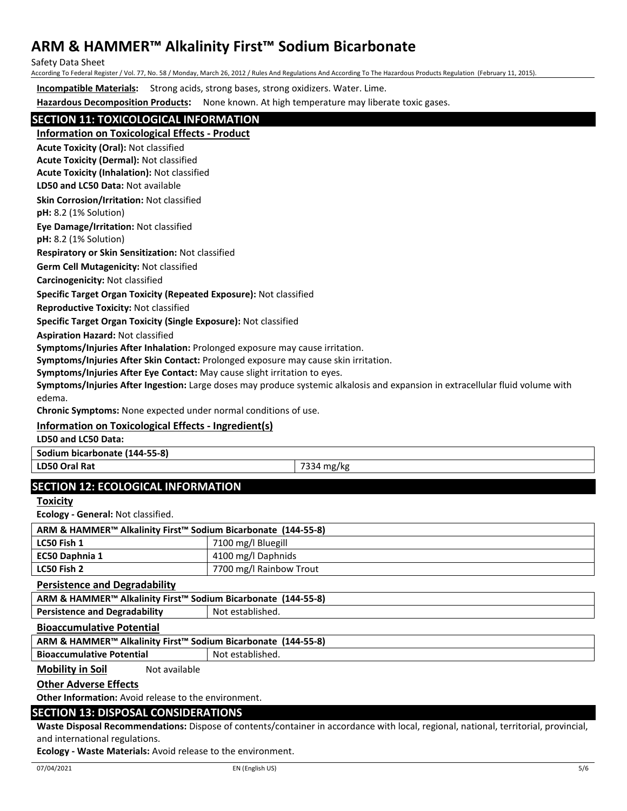Safety Data Sheet

According To Federal Register / Vol. 77, No. 58 / Monday, March 26, 2012 / Rules And Regulations And According To The Hazardous Products Regulation (February 11, 2015).

**Incompatible Materials:** Strong acids, strong bases, strong oxidizers. Water. Lime.

**Hazardous Decomposition Products:** None known. At high temperature may liberate toxic gases.

# **SECTION 11: TOXICOLOGICAL INFORMATION**

**Information on Toxicological Effects - Product**

**Acute Toxicity (Oral):** Not classified

**Acute Toxicity (Dermal):** Not classified

**LD50 and LC50 Data:** Not available **Acute Toxicity (Inhalation):** Not classified

**Skin Corrosion/Irritation:** Not classified

**pH:** 8.2 (1% Solution)

**Eye Damage/Irritation:** Not classified

**pH:** 8.2 (1% Solution)

**Respiratory or Skin Sensitization:** Not classified

**Germ Cell Mutagenicity:** Not classified

**Carcinogenicity:** Not classified

#### **Specific Target Organ Toxicity (Repeated Exposure):** Not classified

**Reproductive Toxicity:** Not classified

**Specific Target Organ Toxicity (Single Exposure):** Not classified

**Aspiration Hazard:** Not classified

**Symptoms/Injuries After Inhalation:** Prolonged exposure may cause irritation.

**Symptoms/Injuries After Skin Contact:** Prolonged exposure may cause skin irritation.

**Symptoms/Injuries After Eye Contact:** May cause slight irritation to eyes.

**Symptoms/Injuries After Ingestion:** Large doses may produce systemic alkalosis and expansion in extracellular fluid volume with edema.

**Chronic Symptoms:** None expected under normal conditions of use.

# **Information on Toxicological Effects - Ingredient(s)**

**LD50 and LC50 Data:**

**Sodium bicarbonate (144-55-8)**

**LD50 Oral Rat** 7334 mg/kg

# **SECTION 12: ECOLOGICAL INFORMATION**

**Toxicity**

**Ecology - General:** Not classified.

| ARM & HAMMER™ Alkalinity First™ Sodium Bicarbonate (144-55-8) |                         |  |
|---------------------------------------------------------------|-------------------------|--|
| LC50 Fish 1                                                   | 7100 mg/l Bluegill      |  |
| EC50 Daphnia 1                                                | 4100 mg/l Daphnids      |  |
| LC50 Fish 2                                                   | 7700 mg/l Rainbow Trout |  |

**Persistence and Degradability**

|  | ARM & HAMMER <sup>™</sup> Alkalinity First <sup>™</sup> Sodium Bicarbonate (144-55-8) |  |  |
|--|---------------------------------------------------------------------------------------|--|--|
|  |                                                                                       |  |  |

**Persistence and Degradability | Not established.** 

**Bioaccumulative Potential**

**ARM & HAMMER™ Alkalinity First™ Sodium Bicarbonate (144-55-8)**

**Bioaccumulative Potential Fig. 3.1 | Not established.** 

**Mobility in Soil** Not available

## **Other Adverse Effects**

**Other Information:** Avoid release to the environment.

# **SECTION 13: DISPOSAL CONSIDERATIONS**

**Waste Disposal Recommendations:** Dispose of contents/container in accordance with local, regional, national, territorial, provincial, and international regulations.

**Ecology - Waste Materials:** Avoid release to the environment.